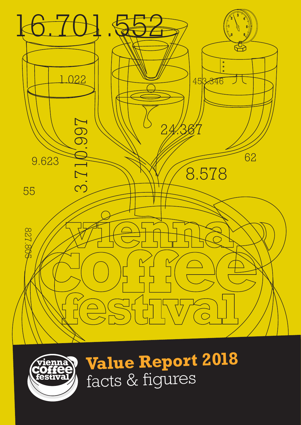



**Value Report 2018** facts & figures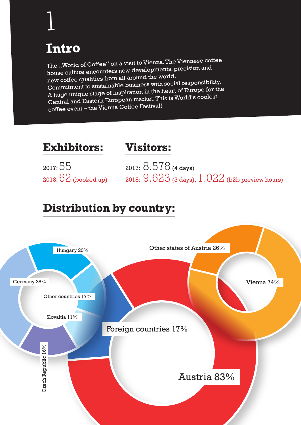# **Intro**

1

The "World of Coffee" on a visit to Vienna. The Viennese coffee house culture encounters new developments, precision and new coffee qualities from all around the world. Commitment to sustainable business with social responsibility. A huge unique stage of inspiration in the heart of Europe for the Central and Eastern European market. This is World's coolest coffee event – the Vienna Coffee Festival!

#### **Exhibitors:**

#### **Visitors:**

2017: 55

2018:  $62$  (booked up)  $\qquad$  2018:  $9.623$  (3 days),  $1.022$  (b2b preview hours) 2017: 8.578 (4 days)

#### **Distribution by country:**

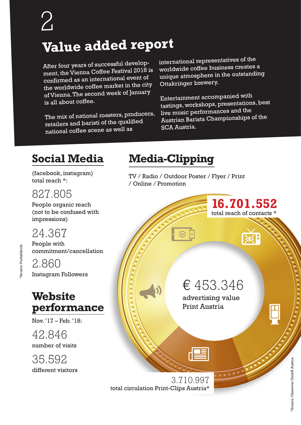## **Value added repor<sup>t</sup>**

After four years of successful development, the Vienna Coffee Festival 2018 is confirmed as an international event o<sup>f</sup> the worldwide coffee market in the city of Vienna. The second week of January is all about coffee.

The mix of national roasters, producers, retailers and baristi of the qualified national coffee scene as well as

international representatives of the worldwide coffee business creates a unique atmosphere in the outstanding Ottakringer brewery.

Entertainment accompanied with tastings, workshops, presentations, best live music performances and the Austrian Barista Championships of the SCA Austria.

### **Social Media**

(facebook, instagram) total reach \*:

#### 827.805

People organic reach (not to be confused with impressions)

## 24.367

People with commitment/cancellation

2.860 Instagram Followers

### **Website performance**

Nov. '17 – Feb. '18:

42.846 number of visits

35.592 different visitors

## **Media-Clipping**

TV / Radio / Outdoor Poster / Flyer / Print / Online / Promotion